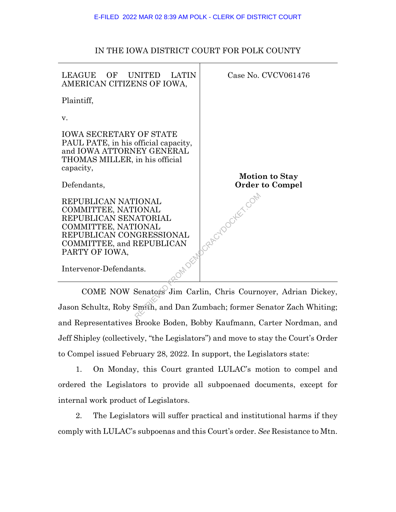| LEAGUE<br>OF<br><b>LATIN</b><br>UNITED<br>AMERICAN CITIZENS OF IOWA,                                                                                                                            | Case No. CVCV061476                             |  |  |
|-------------------------------------------------------------------------------------------------------------------------------------------------------------------------------------------------|-------------------------------------------------|--|--|
| Plaintiff,                                                                                                                                                                                      |                                                 |  |  |
| V.                                                                                                                                                                                              |                                                 |  |  |
| <b>IOWA SECRETARY OF STATE</b><br>PAUL PATE, in his official capacity,<br>and IOWA ATTORNEY GENERAL<br>THOMAS MILLER, in his official<br>capacity,                                              |                                                 |  |  |
| Defendants,                                                                                                                                                                                     | <b>Motion to Stay</b><br><b>Order to Compel</b> |  |  |
| REPUBLICAN NATIONAL<br>COMMITTEE, NATIONAL<br>REPUBLICAN SENATORIAL<br>COMMITTEE, NATIONAL<br>REPUBLICAN CONGRESSIONAL<br>COMMITTEE, and REPUBLICAN<br>PARTY OF IOWA,<br>Intervenor-Defendants. | DCRAFETOOCKEE COM                               |  |  |
|                                                                                                                                                                                                 |                                                 |  |  |
| COME NOW Senators Jim Carlin, Chris Cournoyer, Adrian Di                                                                                                                                        |                                                 |  |  |
| Jason Schultz, Roby Smith, and Dan Zumbach; former Senator Zach Wh                                                                                                                              |                                                 |  |  |

## IN THE IOWA DISTRICT COURT FOR POLK COUNTY

COME NOW Senators Jim Carlin, Chris Cournoyer, Adrian Dickey, Jason Schultz, Roby Smith, and Dan Zumbach; former Senator Zach Whiting; and Representatives Brooke Boden, Bobby Kaufmann, Carter Nordman, and Jeff Shipley (collectively, "the Legislators") and move to stay the Court's Order to Compel issued February 28, 2022. In support, the Legislators state:

1. On Monday, this Court granted LULAC's motion to compel and ordered the Legislators to provide all subpoenaed documents, except for internal work product of Legislators.

2. The Legislators will suffer practical and institutional harms if they comply with LULAC's subpoenas and this Court's order. *See* Resistance to Mtn.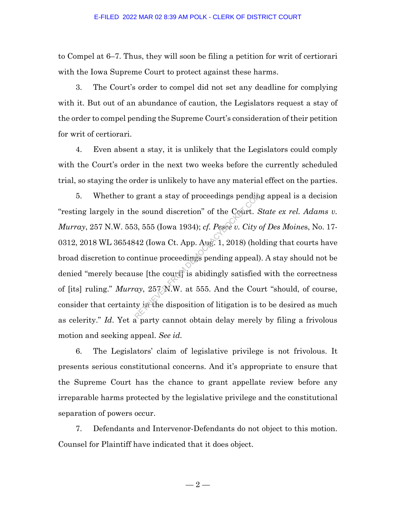to Compel at 6–7. Thus, they will soon be filing a petition for writ of certiorari with the Iowa Supreme Court to protect against these harms.

3. The Court's order to compel did not set any deadline for complying with it. But out of an abundance of caution, the Legislators request a stay of the order to compel pending the Supreme Court's consideration of their petition for writ of certiorari.

4. Even absent a stay, it is unlikely that the Legislators could comply with the Court's order in the next two weeks before the currently scheduled trial, so staying the order is unlikely to have any material effect on the parties.

5. Whether to grant a stay of proceedings pending appeal is a decision "resting largely in the sound discretion" of the Court. *State ex rel. Adams v. Murray*, 257 N.W. 553, 555 (Iowa 1934); *cf. Pesce v. City of Des Moine*s, No. 17- 0312, 2018 WL 3654842 (Iowa Ct. App. Aug. 1, 2018) (holding that courts have broad discretion to continue proceedings pending appeal). A stay should not be denied "merely because [the court] is abidingly satisfied with the correctness of [its] ruling." *Murray*, 257 N.W. at 555. And the Court "should, of course, consider that certainty in the disposition of litigation is to be desired as much as celerity." *Id*. Yet a party cannot obtain delay merely by filing a frivolous motion and seeking appeal. *See id.* grant a stay of proceedings pendine<br>
e sound discretion" of the Court. S<br>
3, 555 (Iowa 1934); *cf. Pesee v. City of*<br>
42 (Iowa Ct. App. Aug. 1, 2018) (hol<br>
mtinue proceedings pending appeal)<br>
see [the court] is abidingly

6. The Legislators' claim of legislative privilege is not frivolous. It presents serious constitutional concerns. And it's appropriate to ensure that the Supreme Court has the chance to grant appellate review before any irreparable harms protected by the legislative privilege and the constitutional separation of powers occur.

7. Defendants and Intervenor-Defendants do not object to this motion. Counsel for Plaintiff have indicated that it does object.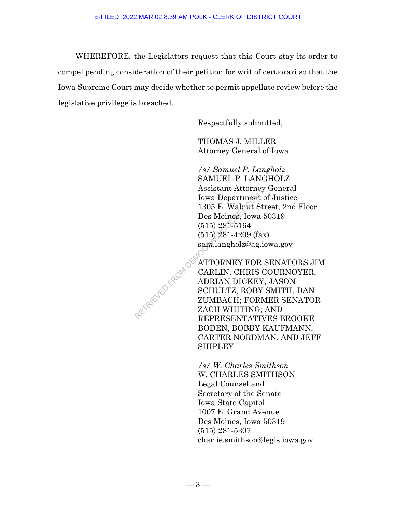WHEREFORE, the Legislators request that this Court stay its order to compel pending consideration of their petition for writ of certiorari so that the Iowa Supreme Court may decide whether to permit appellate review before the legislative privilege is breached.

Respectfully submitted,

THOMAS J. MILLER Attorney General of Iowa

*/s/ Samuel P. Langholz* 

SAMUEL P. LANGHOLZ Assistant Attorney General Iowa Department of Justice 1305 E. Walnut Street, 2nd Floor Des Moines, Iowa 50319 (515) 281-5164 (515) 281-4209 (fax) sam.langholz@ag.iowa.gov

ATTORNEY FOR SENATORS JIM CARLIN, CHRIS COURNOYER, ADRIAN DICKEY, JASON SCHULTZ, ROBY SMITH, DAN ZUMBACH; FORMER SENATOR ZACH WHITING; AND REPRESENTATIVES BROOKE BODEN, BOBBY KAUFMANN, CARTER NORDMAN, AND JEFF SHIPLEY RETRIEVED FROM DEMO

> */s/ W. Charles Smithson*  W. CHARLES SMITHSON Legal Counsel and Secretary of the Senate Iowa State Capitol

1007 E. Grand Avenue Des Moines, Iowa 50319 (515) 281-5307 charlie.smithson@legis.iowa.gov